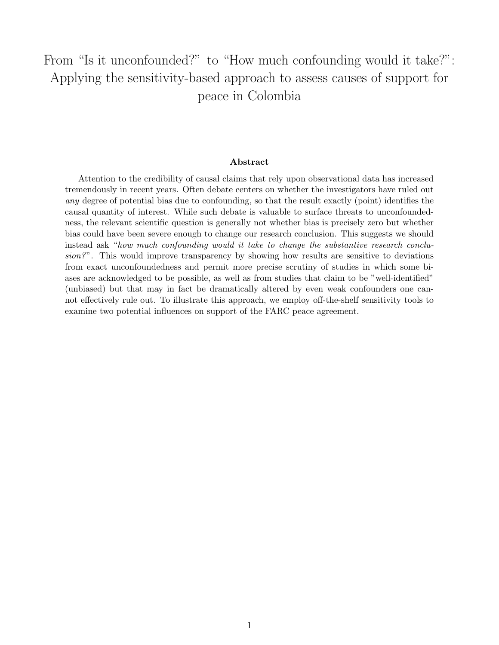# From "Is it unconfounded?" to "How much confounding would it take?": Applying the sensitivity-based approach to assess causes of support for peace in Colombia

#### Abstract

Attention to the credibility of causal claims that rely upon observational data has increased tremendously in recent years. Often debate centers on whether the investigators have ruled out any degree of potential bias due to confounding, so that the result exactly (point) identifies the causal quantity of interest. While such debate is valuable to surface threats to unconfoundedness, the relevant scientific question is generally not whether bias is precisely zero but whether bias could have been severe enough to change our research conclusion. This suggests we should instead ask "how much confounding would it take to change the substantive research conclusion?". This would improve transparency by showing how results are sensitive to deviations from exact unconfoundedness and permit more precise scrutiny of studies in which some biases are acknowledged to be possible, as well as from studies that claim to be "well-identified" (unbiased) but that may in fact be dramatically altered by even weak confounders one cannot effectively rule out. To illustrate this approach, we employ off-the-shelf sensitivity tools to examine two potential influences on support of the FARC peace agreement.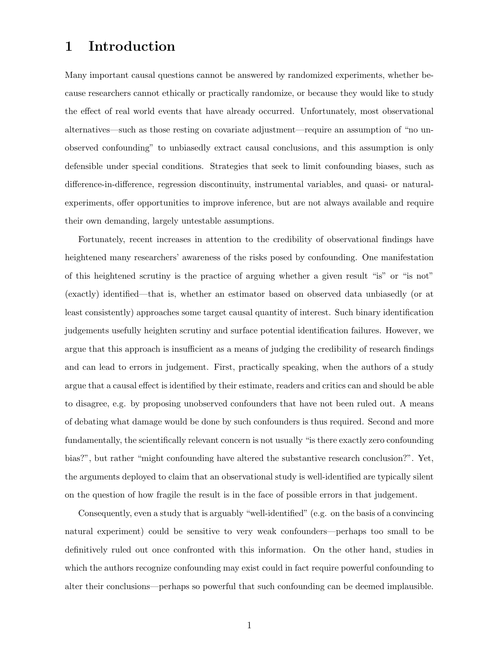### 1 Introduction

Many important causal questions cannot be answered by randomized experiments, whether because researchers cannot ethically or practically randomize, or because they would like to study the effect of real world events that have already occurred. Unfortunately, most observational alternatives—such as those resting on covariate adjustment—require an assumption of "no unobserved confounding" to unbiasedly extract causal conclusions, and this assumption is only defensible under special conditions. Strategies that seek to limit confounding biases, such as difference-in-difference, regression discontinuity, instrumental variables, and quasi- or naturalexperiments, offer opportunities to improve inference, but are not always available and require their own demanding, largely untestable assumptions.

Fortunately, recent increases in attention to the credibility of observational findings have heightened many researchers' awareness of the risks posed by confounding. One manifestation of this heightened scrutiny is the practice of arguing whether a given result "is" or "is not" (exactly) identified—that is, whether an estimator based on observed data unbiasedly (or at least consistently) approaches some target causal quantity of interest. Such binary identification judgements usefully heighten scrutiny and surface potential identification failures. However, we argue that this approach is insufficient as a means of judging the credibility of research findings and can lead to errors in judgement. First, practically speaking, when the authors of a study argue that a causal effect is identified by their estimate, readers and critics can and should be able to disagree, e.g. by proposing unobserved confounders that have not been ruled out. A means of debating what damage would be done by such confounders is thus required. Second and more fundamentally, the scientifically relevant concern is not usually "is there exactly zero confounding bias?", but rather "might confounding have altered the substantive research conclusion?". Yet, the arguments deployed to claim that an observational study is well-identified are typically silent on the question of how fragile the result is in the face of possible errors in that judgement.

Consequently, even a study that is arguably "well-identified" (e.g. on the basis of a convincing natural experiment) could be sensitive to very weak confounders—perhaps too small to be definitively ruled out once confronted with this information. On the other hand, studies in which the authors recognize confounding may exist could in fact require powerful confounding to alter their conclusions—perhaps so powerful that such confounding can be deemed implausible.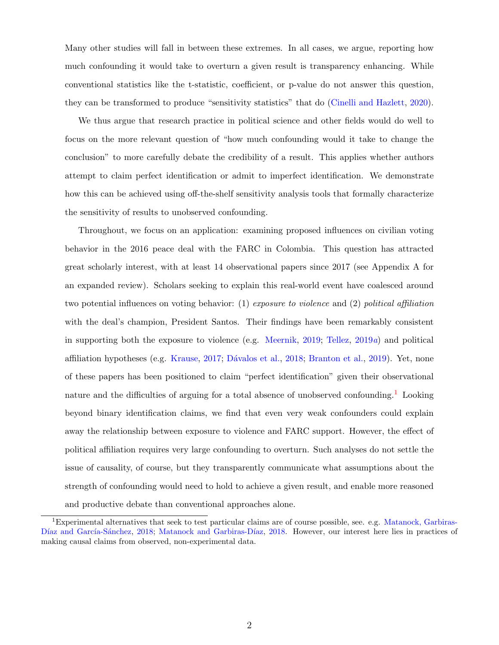Many other studies will fall in between these extremes. In all cases, we argue, reporting how much confounding it would take to overturn a given result is transparency enhancing. While conventional statistics like the t-statistic, coefficient, or p-value do not answer this question, they can be transformed to produce "sensitivity statistics" that do [\(Cinelli and Hazlett,](#page-12-0) [2020\)](#page-12-0).

We thus argue that research practice in political science and other fields would do well to focus on the more relevant question of "how much confounding would it take to change the conclusion" to more carefully debate the credibility of a result. This applies whether authors attempt to claim perfect identification or admit to imperfect identification. We demonstrate how this can be achieved using off-the-shelf sensitivity analysis tools that formally characterize the sensitivity of results to unobserved confounding.

Throughout, we focus on an application: examining proposed influences on civilian voting behavior in the 2016 peace deal with the FARC in Colombia. This question has attracted great scholarly interest, with at least 14 observational papers since 2017 (see Appendix A for an expanded review). Scholars seeking to explain this real-world event have coalesced around two potential influences on voting behavior: (1) exposure to violence and (2) political affiliation with the deal's champion, President Santos. Their findings have been remarkably consistent in supporting both the exposure to violence (e.g. [Meernik,](#page-12-1) [2019;](#page-12-1) [Tellez,](#page-13-0) [2019](#page-13-0)a) and political affiliation hypotheses (e.g. [Krause,](#page-12-2) [2017;](#page-12-2) [D´avalos et al.,](#page-12-3) [2018;](#page-12-3) [Branton et al.,](#page-12-4) [2019\)](#page-12-4). Yet, none of these papers has been positioned to claim "perfect identification" given their observational nature and the difficulties of arguing for a total absence of unobserved confounding. Looking beyond binary identification claims, we find that even very weak confounders could explain away the relationship between exposure to violence and FARC support. However, the effect of political affiliation requires very large confounding to overturn. Such analyses do not settle the issue of causality, of course, but they transparently communicate what assumptions about the strength of confounding would need to hold to achieve a given result, and enable more reasoned and productive debate than conventional approaches alone.

<span id="page-2-0"></span><sup>&</sup>lt;sup>1</sup>Experimental alternatives that seek to test particular claims are of course possible, see. e.g. [Matanock, Garbiras-](#page-12-5)Díaz and García-Sánchez, [2018;](#page-12-5) Matanock and Garbiras-Díaz, [2018.](#page-12-6) However, our interest here lies in practices of making causal claims from observed, non-experimental data.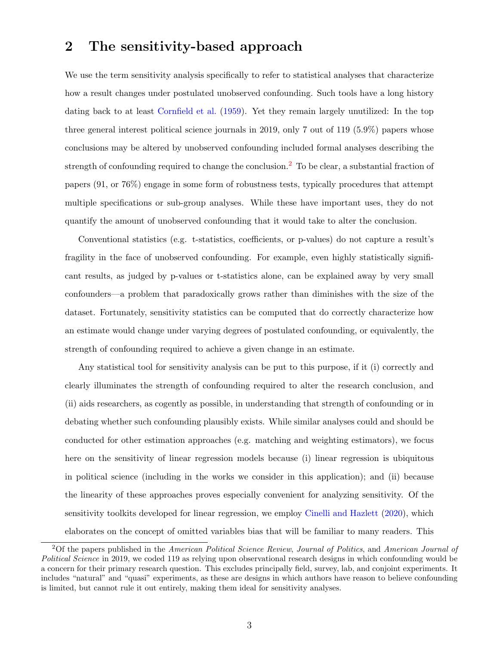#### 2 The sensitivity-based approach

We use the term sensitivity analysis specifically to refer to statistical analyses that characterize how a result changes under postulated unobserved confounding. Such tools have a long history dating back to at least [Cornfield et al.](#page-12-7) [\(1959\)](#page-12-7). Yet they remain largely unutilized: In the top three general interest political science journals in 2019, only 7 out of 119 (5.9%) papers whose conclusions may be altered by unobserved confounding included formal analyses describing the strength of confounding required to change the conclusion.<sup>[2](#page-3-0)</sup> To be clear, a substantial fraction of papers (91, or 76%) engage in some form of robustness tests, typically procedures that attempt multiple specifications or sub-group analyses. While these have important uses, they do not quantify the amount of unobserved confounding that it would take to alter the conclusion.

Conventional statistics (e.g. t-statistics, coefficients, or p-values) do not capture a result's fragility in the face of unobserved confounding. For example, even highly statistically significant results, as judged by p-values or t-statistics alone, can be explained away by very small confounders—a problem that paradoxically grows rather than diminishes with the size of the dataset. Fortunately, sensitivity statistics can be computed that do correctly characterize how an estimate would change under varying degrees of postulated confounding, or equivalently, the strength of confounding required to achieve a given change in an estimate.

Any statistical tool for sensitivity analysis can be put to this purpose, if it (i) correctly and clearly illuminates the strength of confounding required to alter the research conclusion, and (ii) aids researchers, as cogently as possible, in understanding that strength of confounding or in debating whether such confounding plausibly exists. While similar analyses could and should be conducted for other estimation approaches (e.g. matching and weighting estimators), we focus here on the sensitivity of linear regression models because (i) linear regression is ubiquitous in political science (including in the works we consider in this application); and (ii) because the linearity of these approaches proves especially convenient for analyzing sensitivity. Of the sensitivity toolkits developed for linear regression, we employ [Cinelli and Hazlett](#page-12-0) [\(2020\)](#page-12-0), which elaborates on the concept of omitted variables bias that will be familiar to many readers. This

<span id="page-3-0"></span><sup>&</sup>lt;sup>2</sup>Of the papers published in the American Political Science Review, Journal of Politics, and American Journal of Political Science in 2019, we coded 119 as relying upon observational research designs in which confounding would be a concern for their primary research question. This excludes principally field, survey, lab, and conjoint experiments. It includes "natural" and "quasi" experiments, as these are designs in which authors have reason to believe confounding is limited, but cannot rule it out entirely, making them ideal for sensitivity analyses.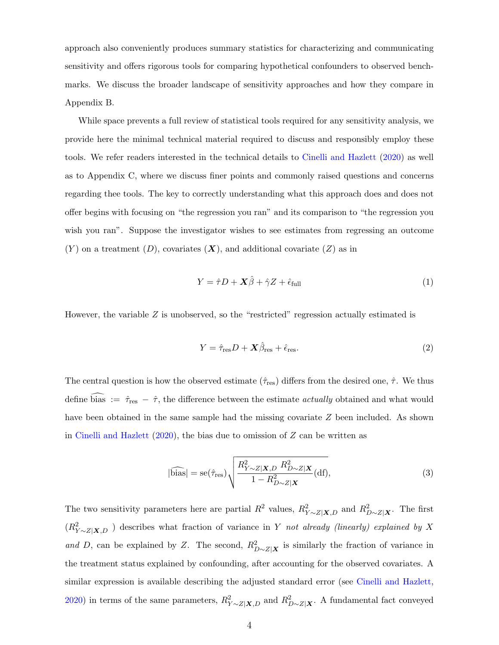approach also conveniently produces summary statistics for characterizing and communicating sensitivity and offers rigorous tools for comparing hypothetical confounders to observed benchmarks. We discuss the broader landscape of sensitivity approaches and how they compare in Appendix B.

While space prevents a full review of statistical tools required for any sensitivity analysis, we provide here the minimal technical material required to discuss and responsibly employ these tools. We refer readers interested in the technical details to [Cinelli and Hazlett](#page-12-0) [\(2020\)](#page-12-0) as well as to Appendix C, where we discuss finer points and commonly raised questions and concerns regarding thee tools. The key to correctly understanding what this approach does and does not offer begins with focusing on "the regression you ran" and its comparison to "the regression you wish you ran". Suppose the investigator wishes to see estimates from regressing an outcome  $(Y)$  on a treatment  $(D)$ , covariates  $(X)$ , and additional covariate  $(Z)$  as in

$$
Y = \hat{\tau}D + \mathbf{X}\hat{\beta} + \hat{\gamma}Z + \hat{\epsilon}_{\text{full}} \tag{1}
$$

However, the variable  $Z$  is unobserved, so the "restricted" regression actually estimated is

$$
Y = \hat{\tau}_{\text{res}} D + \mathbf{X} \hat{\beta}_{\text{res}} + \hat{\epsilon}_{\text{res}}.
$$
\n
$$
(2)
$$

The central question is how the observed estimate  $(\hat{\tau}_{res})$  differs from the desired one,  $\hat{\tau}$ . We thus define bias :=  $\hat{\tau}_{res} - \hat{\tau}$ , the difference between the estimate *actually* obtained and what would have been obtained in the same sample had the missing covariate Z been included. As shown in [Cinelli and Hazlett](#page-12-0)  $(2020)$ , the bias due to omission of Z can be written as

$$
|\widehat{\text{bias}}| = \text{se}(\hat{\tau}_{\text{res}}) \sqrt{\frac{R_{Y \sim Z | \mathbf{X}, D}^2 R_{D \sim Z | \mathbf{X}}^2}{1 - R_{D \sim Z | \mathbf{X}}^2}} (\text{df}),\tag{3}
$$

The two sensitivity parameters here are partial  $R^2$  values,  $R^2_{Y \sim Z|\mathbf{X},D}$  and  $R^2_{D \sim Z|\mathbf{X}}$ . The first  $(R_{Y\sim Z|\mathbf{X},D}^2)$  describes what fraction of variance in Y not already (linearly) explained by X and D, can be explained by Z. The second,  $R_{D\sim Z|\mathbf{X}}^2$  is similarly the fraction of variance in the treatment status explained by confounding, after accounting for the observed covariates. A similar expression is available describing the adjusted standard error (see [Cinelli and Hazlett,](#page-12-0) [2020\)](#page-12-0) in terms of the same parameters,  $R_{Y\sim Z|\mathbf{X},D}^2$  and  $R_{D\sim Z|\mathbf{X}}^2$ . A fundamental fact conveyed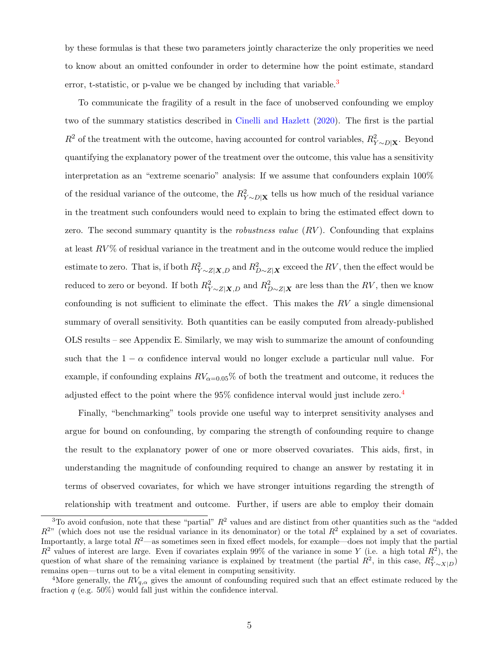by these formulas is that these two parameters jointly characterize the only properities we need to know about an omitted confounder in order to determine how the point estimate, standard error, t-statistic, or p-value we be changed by including that variable.<sup>[3](#page-5-0)</sup>

To communicate the fragility of a result in the face of unobserved confounding we employ two of the summary statistics described in [Cinelli and Hazlett](#page-12-0) [\(2020\)](#page-12-0). The first is the partial  $R^2$  of the treatment with the outcome, having accounted for control variables,  $R^2_{Y \sim D|\mathbf{X}}$ . Beyond quantifying the explanatory power of the treatment over the outcome, this value has a sensitivity interpretation as an "extreme scenario" analysis: If we assume that confounders explain 100% of the residual variance of the outcome, the  $R_{Y \sim D|\mathbf{X}}^2$  tells us how much of the residual variance in the treatment such confounders would need to explain to bring the estimated effect down to zero. The second summary quantity is the *robustness value*  $(RV)$ . Confounding that explains at least  $RV\%$  of residual variance in the treatment and in the outcome would reduce the implied estimate to zero. That is, if both  $R_{Y\sim Z|X,D}^2$  and  $R_{D\sim Z|X}^2$  exceed the  $RV$ , then the effect would be reduced to zero or beyond. If both  $R_{Y \sim Z|\mathbf{X},D}^2$  and  $R_{D \sim Z|\mathbf{X}}^2$  are less than the  $RV$ , then we know confounding is not sufficient to eliminate the effect. This makes the  $RV$  a single dimensional summary of overall sensitivity. Both quantities can be easily computed from already-published OLS results – see Appendix E. Similarly, we may wish to summarize the amount of confounding such that the  $1 - \alpha$  confidence interval would no longer exclude a particular null value. For example, if confounding explains  $RV_{\alpha=0.05}\%$  of both the treatment and outcome, it reduces the adjusted effect to the point where the 95% confidence interval would just include zero.[4](#page-5-1)

Finally, "benchmarking" tools provide one useful way to interpret sensitivity analyses and argue for bound on confounding, by comparing the strength of confounding require to change the result to the explanatory power of one or more observed covariates. This aids, first, in understanding the magnitude of confounding required to change an answer by restating it in terms of observed covariates, for which we have stronger intuitions regarding the strength of relationship with treatment and outcome. Further, if users are able to employ their domain

<span id="page-5-0"></span> $3$ To avoid confusion, note that these "partial"  $R^2$  values and are distinct from other quantities such as the "added"  $R^{2n}$  (which does not use the residual variance in its denominator) or the total  $R^2$  explained by a set of covariates. Importantly, a large total  $R^2$ —as sometimes seen in fixed effect models, for example—does not imply that the partial  $R^2$  values of interest are large. Even if covariates explain 99% of the variance in some Y (i.e. a high total  $R^2$ ), the question of what share of the remaining variance is explained by treatment (the partial  $R^2$ , in this case,  $R^2_{Y\sim X|D}$ ) remains open—turns out to be a vital element in computing sensitivity.

<span id="page-5-1"></span><sup>&</sup>lt;sup>4</sup>More generally, the  $RV_{q,\alpha}$  gives the amount of confounding required such that an effect estimate reduced by the fraction  $q$  (e.g. 50%) would fall just within the confidence interval.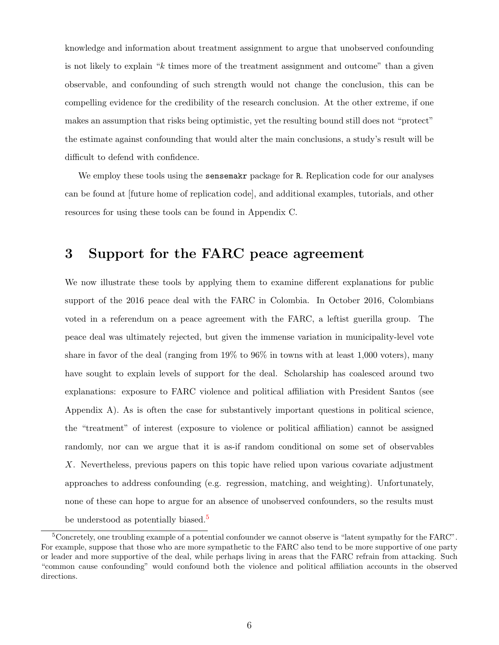knowledge and information about treatment assignment to argue that unobserved confounding is not likely to explain "k times more of the treatment assignment and outcome" than a given observable, and confounding of such strength would not change the conclusion, this can be compelling evidence for the credibility of the research conclusion. At the other extreme, if one makes an assumption that risks being optimistic, yet the resulting bound still does not "protect" the estimate against confounding that would alter the main conclusions, a study's result will be difficult to defend with confidence.

We employ these tools using the **sensemakr** package for R. Replication code for our analyses can be found at [future home of replication code], and additional examples, tutorials, and other resources for using these tools can be found in Appendix C.

### 3 Support for the FARC peace agreement

We now illustrate these tools by applying them to examine different explanations for public support of the 2016 peace deal with the FARC in Colombia. In October 2016, Colombians voted in a referendum on a peace agreement with the FARC, a leftist guerilla group. The peace deal was ultimately rejected, but given the immense variation in municipality-level vote share in favor of the deal (ranging from 19% to 96% in towns with at least 1,000 voters), many have sought to explain levels of support for the deal. Scholarship has coalesced around two explanations: exposure to FARC violence and political affiliation with President Santos (see Appendix A). As is often the case for substantively important questions in political science, the "treatment" of interest (exposure to violence or political affiliation) cannot be assigned randomly, nor can we argue that it is as-if random conditional on some set of observables X. Nevertheless, previous papers on this topic have relied upon various covariate adjustment approaches to address confounding (e.g. regression, matching, and weighting). Unfortunately, none of these can hope to argue for an absence of unobserved confounders, so the results must be understood as potentially biased.<sup>[5](#page-6-0)</sup>

<span id="page-6-0"></span><sup>5</sup>Concretely, one troubling example of a potential confounder we cannot observe is "latent sympathy for the FARC". For example, suppose that those who are more sympathetic to the FARC also tend to be more supportive of one party or leader and more supportive of the deal, while perhaps living in areas that the FARC refrain from attacking. Such "common cause confounding" would confound both the violence and political affiliation accounts in the observed directions.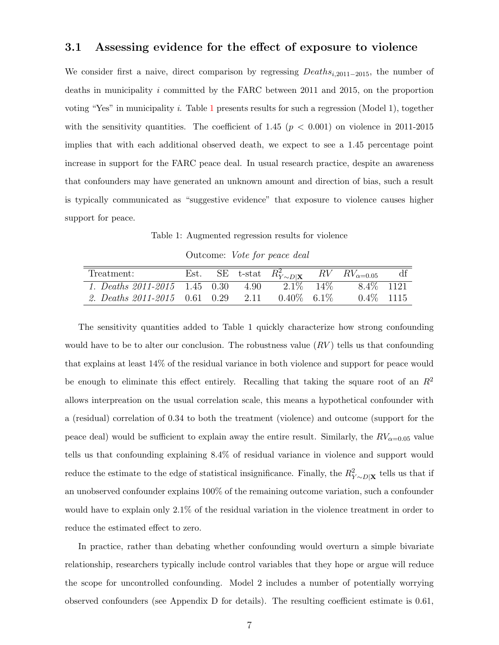#### 3.1 Assessing evidence for the effect of exposure to violence

We consider first a naive, direct comparison by regressing Deathsi,2011−2015, the number of deaths in municipality i committed by the FARC between 2011 and 2015, on the proportion voting "Yes" in municipality i. Table [1](#page-7-0) presents results for such a regression (Model 1), together with the sensitivity quantities. The coefficient of 1.45 ( $p < 0.001$ ) on violence in 2011-2015 implies that with each additional observed death, we expect to see a 1.45 percentage point increase in support for the FARC peace deal. In usual research practice, despite an awareness that confounders may have generated an unknown amount and direction of bias, such a result is typically communicated as "suggestive evidence" that exposure to violence causes higher support for peace.

Table 1: Augmented regression results for violence

| Outcome: Vote for peace deal |  |  |  |  |
|------------------------------|--|--|--|--|
|------------------------------|--|--|--|--|

<span id="page-7-0"></span>

| Treatment:                             |  | SE t-stat $R_{Y\sim D \mathbf{X}}^2$ |        | $RV$ $RV_{\alpha=0.05}$ |  |
|----------------------------------------|--|--------------------------------------|--------|-------------------------|--|
| 1. Deaths $2011 - 2015$ 1.45 0.30 4.90 |  | $2.1\%$                              | $14\%$ | $8.4\%$ 1121            |  |
| 2. Deaths $2011 - 2015$ 0.61 0.29 2.11 |  | $0.40\%$ 6.1\%                       |        | $0.4\%$ 1115            |  |

The sensitivity quantities added to Table 1 quickly characterize how strong confounding would have to be to alter our conclusion. The robustness value  $(RV)$  tells us that confounding that explains at least 14% of the residual variance in both violence and support for peace would be enough to eliminate this effect entirely. Recalling that taking the square root of an  $R^2$ allows interpreation on the usual correlation scale, this means a hypothetical confounder with a (residual) correlation of 0.34 to both the treatment (violence) and outcome (support for the peace deal) would be sufficient to explain away the entire result. Similarly, the  $RV_{\alpha=0.05}$  value tells us that confounding explaining 8.4% of residual variance in violence and support would reduce the estimate to the edge of statistical insignificance. Finally, the  $R_{Y \sim D|\mathbf{X}}^2$  tells us that if an unobserved confounder explains 100% of the remaining outcome variation, such a confounder would have to explain only 2.1% of the residual variation in the violence treatment in order to reduce the estimated effect to zero.

In practice, rather than debating whether confounding would overturn a simple bivariate relationship, researchers typically include control variables that they hope or argue will reduce the scope for uncontrolled confounding. Model 2 includes a number of potentially worrying observed confounders (see Appendix D for details). The resulting coefficient estimate is 0.61,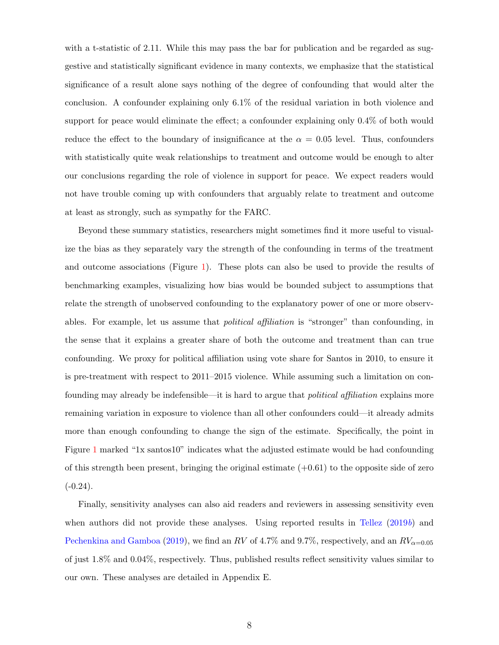with a t-statistic of 2.11. While this may pass the bar for publication and be regarded as suggestive and statistically significant evidence in many contexts, we emphasize that the statistical significance of a result alone says nothing of the degree of confounding that would alter the conclusion. A confounder explaining only 6.1% of the residual variation in both violence and support for peace would eliminate the effect; a confounder explaining only 0.4% of both would reduce the effect to the boundary of insignificance at the  $\alpha = 0.05$  level. Thus, confounders with statistically quite weak relationships to treatment and outcome would be enough to alter our conclusions regarding the role of violence in support for peace. We expect readers would not have trouble coming up with confounders that arguably relate to treatment and outcome at least as strongly, such as sympathy for the FARC.

Beyond these summary statistics, researchers might sometimes find it more useful to visualize the bias as they separately vary the strength of the confounding in terms of the treatment and outcome associations (Figure [1\)](#page-9-0). These plots can also be used to provide the results of benchmarking examples, visualizing how bias would be bounded subject to assumptions that relate the strength of unobserved confounding to the explanatory power of one or more observables. For example, let us assume that political affiliation is "stronger" than confounding, in the sense that it explains a greater share of both the outcome and treatment than can true confounding. We proxy for political affiliation using vote share for Santos in 2010, to ensure it is pre-treatment with respect to 2011–2015 violence. While assuming such a limitation on confounding may already be indefensible—it is hard to argue that *political affiliation* explains more remaining variation in exposure to violence than all other confounders could—it already admits more than enough confounding to change the sign of the estimate. Specifically, the point in Figure [1](#page-9-0) marked "1x santos10" indicates what the adjusted estimate would be had confounding of this strength been present, bringing the original estimate  $(+0.61)$  to the opposite side of zero  $(-0.24)$ .

Finally, sensitivity analyses can also aid readers and reviewers in assessing sensitivity even when authors did not provide these analyses. Using reported results in [Tellez](#page-13-1)  $(2019b)$  $(2019b)$  and [Pechenkina and Gamboa](#page-12-8) [\(2019\)](#page-12-8), we find an RV of 4.7% and 9.7%, respectively, and an  $RV_{\alpha=0.05}$ of just 1.8% and 0.04%, respectively. Thus, published results reflect sensitivity values similar to our own. These analyses are detailed in Appendix E.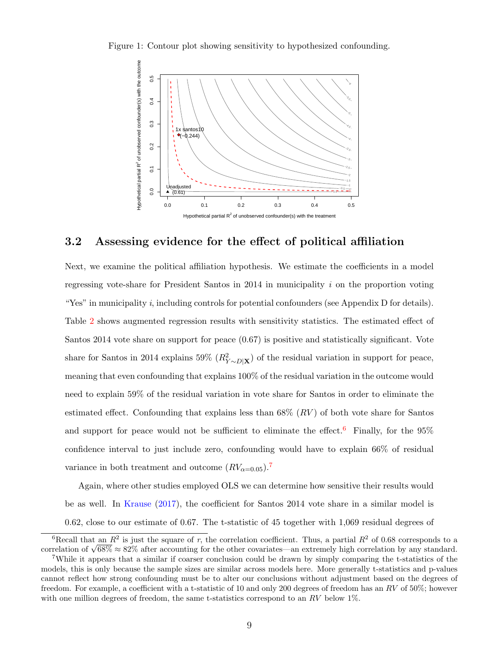<span id="page-9-0"></span>Figure 1: Contour plot showing sensitivity to hypothesized confounding.



#### 3.2 Assessing evidence for the effect of political affiliation

Next, we examine the political affiliation hypothesis. We estimate the coefficients in a model regressing vote-share for President Santos in  $2014$  in municipality i on the proportion voting "Yes" in municipality i, including controls for potential confounders (see Appendix  $D$  for details). Table [2](#page-10-0) shows augmented regression results with sensitivity statistics. The estimated effect of Santos 2014 vote share on support for peace (0.67) is positive and statistically significant. Vote share for Santos in 2014 explains 59%  $(R_{Y\sim D|\mathbf{X}}^2)$  of the residual variation in support for peace, meaning that even confounding that explains 100% of the residual variation in the outcome would need to explain 59% of the residual variation in vote share for Santos in order to eliminate the estimated effect. Confounding that explains less than  $68\%$   $(RV)$  of both vote share for Santos and support for peace would not be sufficient to eliminate the effect.<sup>[6](#page-9-1)</sup> Finally, for the  $95\%$ confidence interval to just include zero, confounding would have to explain 66% of residual variance in both treatment and outcome  $(RV_{\alpha=0.05})$ .<sup>[7](#page-9-2)</sup>

Again, where other studies employed OLS we can determine how sensitive their results would be as well. In [Krause](#page-12-2) [\(2017\)](#page-12-2), the coefficient for Santos 2014 vote share in a similar model is 0.62, close to our estimate of 0.67. The t-statistic of 45 together with 1,069 residual degrees of

<span id="page-9-1"></span><sup>&</sup>lt;sup>6</sup>Recall that an  $R^2$  is just the square of r, the correlation coefficient. Thus, a partial  $R^2$  of 0.68 corresponds to a Example of  $\sqrt{68\%} \approx 82\%$  after accounting for the other covariates—an extremely high correlation by any standard.

<span id="page-9-2"></span><sup>7</sup>While it appears that a similar if coarser conclusion could be drawn by simply comparing the t-statistics of the models, this is only because the sample sizes are similar across models here. More generally t-statistics and p-values cannot reflect how strong confounding must be to alter our conclusions without adjustment based on the degrees of freedom. For example, a coefficient with a t-statistic of 10 and only 200 degrees of freedom has an  $RV$  of 50%; however with one million degrees of freedom, the same t-statistics correspond to an  $RV$  below 1%.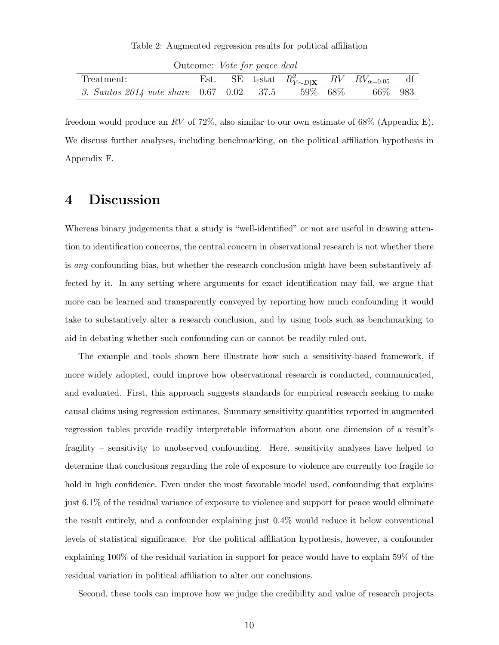Table 2: Augmented regression results for political affiliation

<span id="page-10-0"></span>

| Outcome. <i>Vote</i> for peace acan          |  |  |  |         |  |                                                                    |  |
|----------------------------------------------|--|--|--|---------|--|--------------------------------------------------------------------|--|
| Treatment:                                   |  |  |  |         |  | Est. SE t-stat $R_{Y\sim D \mathbf{X}}^2$ RV $RV_{\alpha=0.05}$ df |  |
| 3. Santos 2014 vote share $0.67$ $0.02$ 37.5 |  |  |  | 59% 68% |  | 66\% 983                                                           |  |

Outcome: Vote for peace deal

freedom would produce an RV of 72%, also similar to our own estimate of 68% (Appendix E). We discuss further analyses, including benchmarking, on the political affiliation hypothesis in Appendix F.

#### 4 Discussion

Whereas binary judgements that a study is "well-identified" or not are useful in drawing attention to identification concerns, the central concern in observational research is not whether there is any confounding bias, but whether the research conclusion might have been substantively affected by it. In any setting where arguments for exact identification may fail, we argue that more can be learned and transparently conveyed by reporting how much confounding it would take to substantively alter a research conclusion, and by using tools such as benchmarking to aid in debating whether such confounding can or cannot be readily ruled out.

The example and tools shown here illustrate how such a sensitivity-based framework, if more widely adopted, could improve how observational research is conducted, communicated, and evaluated. First, this approach suggests standards for empirical research seeking to make causal claims using regression estimates. Summary sensitivity quantities reported in augmented regression tables provide readily interpretable information about one dimension of a result's fragility – sensitivity to unobserved confounding. Here, sensitivity analyses have helped to determine that conclusions regarding the role of exposure to violence are currently too fragile to hold in high confidence. Even under the most favorable model used, confounding that explains just 6.1% of the residual variance of exposure to violence and support for peace would eliminate the result entirely, and a confounder explaining just 0.4% would reduce it below conventional levels of statistical significance. For the political affiliation hypothesis, however, a confounder explaining 100% of the residual variation in support for peace would have to explain 59% of the residual variation in political affiliation to alter our conclusions.

Second, these tools can improve how we judge the credibility and value of research projects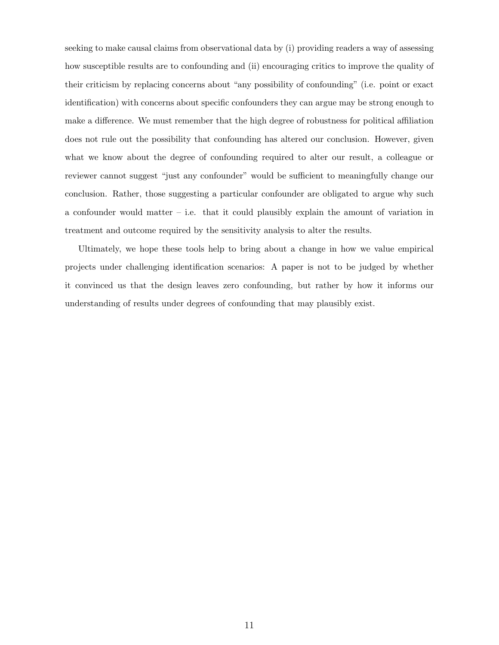seeking to make causal claims from observational data by (i) providing readers a way of assessing how susceptible results are to confounding and (ii) encouraging critics to improve the quality of their criticism by replacing concerns about "any possibility of confounding" (i.e. point or exact identification) with concerns about specific confounders they can argue may be strong enough to make a difference. We must remember that the high degree of robustness for political affiliation does not rule out the possibility that confounding has altered our conclusion. However, given what we know about the degree of confounding required to alter our result, a colleague or reviewer cannot suggest "just any confounder" would be sufficient to meaningfully change our conclusion. Rather, those suggesting a particular confounder are obligated to argue why such a confounder would matter – i.e. that it could plausibly explain the amount of variation in treatment and outcome required by the sensitivity analysis to alter the results.

Ultimately, we hope these tools help to bring about a change in how we value empirical projects under challenging identification scenarios: A paper is not to be judged by whether it convinced us that the design leaves zero confounding, but rather by how it informs our understanding of results under degrees of confounding that may plausibly exist.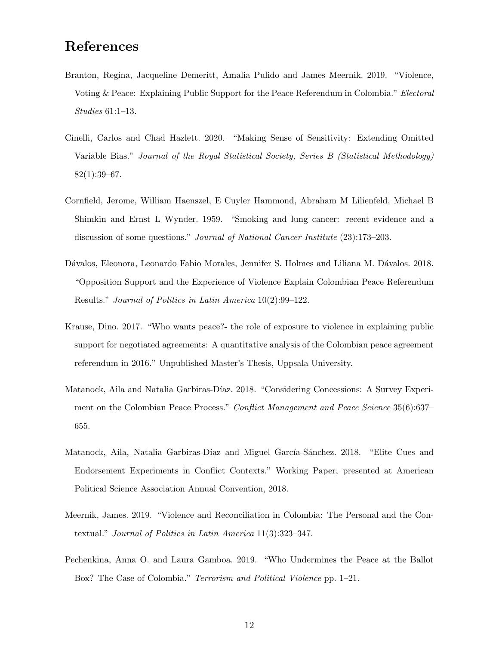## References

- <span id="page-12-4"></span>Branton, Regina, Jacqueline Demeritt, Amalia Pulido and James Meernik. 2019. "Violence, Voting & Peace: Explaining Public Support for the Peace Referendum in Colombia." Electoral Studies 61:1–13.
- <span id="page-12-0"></span>Cinelli, Carlos and Chad Hazlett. 2020. "Making Sense of Sensitivity: Extending Omitted Variable Bias." Journal of the Royal Statistical Society, Series B (Statistical Methodology) 82(1):39–67.
- <span id="page-12-7"></span>Cornfield, Jerome, William Haenszel, E Cuyler Hammond, Abraham M Lilienfeld, Michael B Shimkin and Ernst L Wynder. 1959. "Smoking and lung cancer: recent evidence and a discussion of some questions." *Journal of National Cancer Institute* (23):173–203.
- <span id="page-12-3"></span>Dávalos, Eleonora, Leonardo Fabio Morales, Jennifer S. Holmes and Liliana M. Dávalos. 2018. "Opposition Support and the Experience of Violence Explain Colombian Peace Referendum Results." Journal of Politics in Latin America 10(2):99–122.
- <span id="page-12-2"></span>Krause, Dino. 2017. "Who wants peace?- the role of exposure to violence in explaining public support for negotiated agreements: A quantitative analysis of the Colombian peace agreement referendum in 2016." Unpublished Master's Thesis, Uppsala University.
- <span id="page-12-6"></span>Matanock, Aila and Natalia Garbiras-Díaz. 2018. "Considering Concessions: A Survey Experiment on the Colombian Peace Process." Conflict Management and Peace Science 35(6):637– 655.
- <span id="page-12-5"></span>Matanock, Aila, Natalia Garbiras-Díaz and Miguel García-Sánchez. 2018. "Elite Cues and Endorsement Experiments in Conflict Contexts." Working Paper, presented at American Political Science Association Annual Convention, 2018.
- <span id="page-12-1"></span>Meernik, James. 2019. "Violence and Reconciliation in Colombia: The Personal and the Contextual." Journal of Politics in Latin America 11(3):323–347.
- <span id="page-12-8"></span>Pechenkina, Anna O. and Laura Gamboa. 2019. "Who Undermines the Peace at the Ballot Box? The Case of Colombia." Terrorism and Political Violence pp. 1–21.